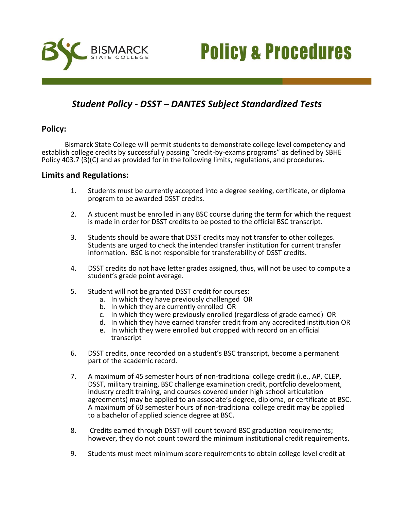



# *Student Policy - DSST – DANTES Subject Standardized Tests*

## **Policy:**

Bismarck State College will permit students to demonstrate college level competency and establish college credits by successfully passing "credit-by-exams programs" as defined by SBHE Policy 403.7 (3)(C) and as provided for in the following limits, regulations, and procedures.

#### **Limits and Regulations:**

- 1. Students must be currently accepted into a degree seeking, certificate, or diploma program to be awarded DSST credits.
- 2. A student must be enrolled in any BSC course during the term for which the request is made in order for DSST credits to be posted to the official BSC transcript.
- 3. Students should be aware that DSST credits may not transfer to other colleges. Students are urged to check the intended transfer institution for current transfer information. BSC is not responsible for transferability of DSST credits.
- 4. DSST credits do not have letter grades assigned, thus, will not be used to compute a student's grade point average.
- 5. Student will not be granted DSST credit for courses:
	- a. In which they have previously challenged OR
	- b. In which they are currently enrolled OR
	- c. In which they were previously enrolled (regardless of grade earned) OR
	- d. In which they have earned transfer credit from any accredited institution OR
	- e. In which they were enrolled but dropped with record on an official transcript
- 6. DSST credits, once recorded on a student's BSC transcript, become a permanent part of the academic record.
- 7. A maximum of 45 semester hours of non-traditional college credit (i.e., AP, CLEP, DSST, military training, BSC challenge examination credit, portfolio development, industry credit training, and courses covered under high school articulation agreements) may be applied to an associate's degree, diploma, or certificate at BSC. A maximum of 60 semester hours of non-traditional college credit may be applied to a bachelor of applied science degree at BSC.
- 8. Credits earned through DSST will count toward BSC graduation requirements; however, they do not count toward the minimum institutional credit requirements.
- 9. Students must meet minimum score requirements to obtain college level credit at